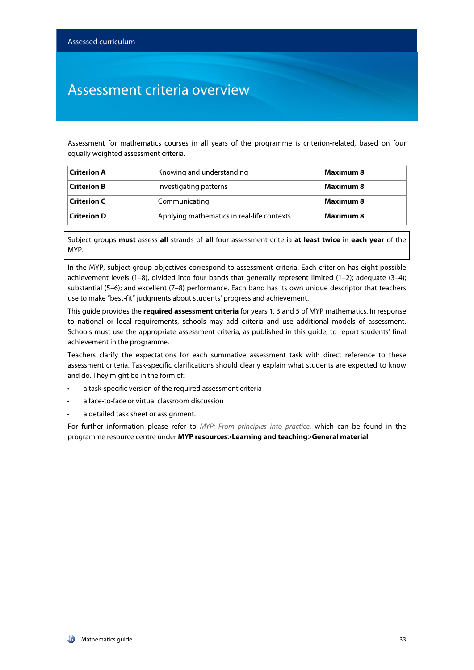### Assessment criteria overview

Assessment for mathematics courses in all years of the programme is criterion-related, based on four equally weighted assessment criteria.

| $\sf C$ riterion A | Knowing and understanding                  | <b>Maximum 8</b> |
|--------------------|--------------------------------------------|------------------|
| <b>Criterion B</b> | Investigating patterns                     | <b>Maximum 8</b> |
| Criterion C        | Communicating                              | <b>Maximum 8</b> |
| <b>Criterion D</b> | Applying mathematics in real-life contexts | <b>Maximum 8</b> |

Subject groups **must** assess **all** strands of **all** four assessment criteria **at least twice** in **each year** of the MYP.

In the MYP, subject-group objectives correspond to assessment criteria. Each criterion has eight possible achievement levels (1-8), divided into four bands that generally represent limited (1-2); adequate (3-4); substantial (5–6); and excellent (7–8) performance. Each band has its own unique descriptor that teachers use to make "best-fit" judgments about students' progress and achievement.

This guide provides the **required assessment criteria** for years 1, 3 and 5 of MYP mathematics. In response to national or local requirements, schools may add criteria and use additional models of assessment. Schools must use the appropriate assessment criteria, as published in this guide, to report students' final achievement in the programme.

Teachers clarify the expectations for each summative assessment task with direct reference to these assessment criteria. Task-specific clarifications should clearly explain what students are expected to know and do. They might be in the form of:

- a task-specific version of the required assessment criteria
- a face-to-face or virtual classroom discussion
- a detailed task sheet or assignment.

For further information please refer to *MYP: From principles into practice*, which can be found in the programme resource centre under **MYP resources**>**Learning and teaching**>**General material**.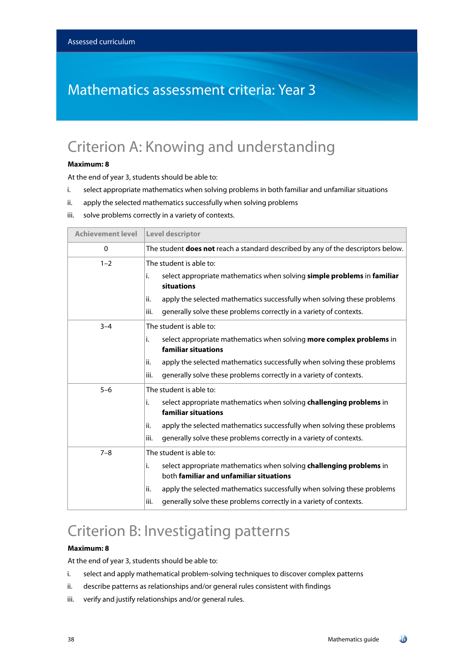## Mathematics assessment criteria: Year 3

## Criterion A: Knowing and understanding

#### **Maximum: 8**

At the end of year 3, students should be able to:

- i. select appropriate mathematics when solving problems in both familiar and unfamiliar situations
- ii. apply the selected mathematics successfully when solving problems
- iii. solve problems correctly in a variety of contexts.

| <b>Achievement level</b> | Level descriptor                                                                                                     |
|--------------------------|----------------------------------------------------------------------------------------------------------------------|
| 0                        | The student <b>does not</b> reach a standard described by any of the descriptors below.                              |
| $1 - 2$                  | The student is able to:                                                                                              |
|                          | select appropriate mathematics when solving simple problems in familiar<br>i.<br>situations                          |
|                          | apply the selected mathematics successfully when solving these problems<br>ii.                                       |
|                          | generally solve these problems correctly in a variety of contexts.<br>iii.                                           |
| $3 - 4$                  | The student is able to:                                                                                              |
|                          | select appropriate mathematics when solving more complex problems in<br>i.<br>familiar situations                    |
|                          | apply the selected mathematics successfully when solving these problems<br>ii.                                       |
|                          | generally solve these problems correctly in a variety of contexts.<br>iii.                                           |
| $5 - 6$                  | The student is able to:                                                                                              |
|                          | select appropriate mathematics when solving challenging problems in<br>i.<br>familiar situations                     |
|                          | apply the selected mathematics successfully when solving these problems<br>ii.                                       |
|                          | generally solve these problems correctly in a variety of contexts.<br>iii.                                           |
| $7 - 8$                  | The student is able to:                                                                                              |
|                          | select appropriate mathematics when solving challenging problems in<br>i.<br>both familiar and unfamiliar situations |
|                          | apply the selected mathematics successfully when solving these problems<br>ii.                                       |
|                          | iii.<br>generally solve these problems correctly in a variety of contexts.                                           |

## Criterion B: Investigating patterns

#### **Maximum: 8**

At the end of year 3, students should be able to:

- i. select and apply mathematical problem-solving techniques to discover complex patterns
- ii. describe patterns as relationships and/or general rules consistent with findings
- iii. verify and justify relationships and/or general rules.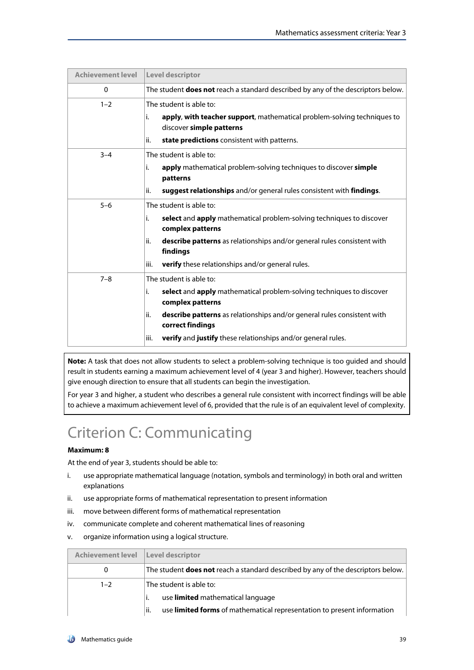| <b>Achievement level</b> | <b>Level descriptor</b>                                                                                                                                                                                                                                                                                                      |
|--------------------------|------------------------------------------------------------------------------------------------------------------------------------------------------------------------------------------------------------------------------------------------------------------------------------------------------------------------------|
| 0                        | The student <b>does not</b> reach a standard described by any of the descriptors below.                                                                                                                                                                                                                                      |
| $1 - 2$                  | The student is able to:<br>i.<br>apply, with teacher support, mathematical problem-solving techniques to<br>discover simple patterns<br>ii.<br>state predictions consistent with patterns.                                                                                                                                   |
| $3 - 4$                  | The student is able to:<br>apply mathematical problem-solving techniques to discover simple<br>i.<br>patterns<br>ii.<br>suggest relationships and/or general rules consistent with findings.                                                                                                                                 |
| $5 - 6$                  | The student is able to:<br>i.<br>select and apply mathematical problem-solving techniques to discover<br>complex patterns<br>ii.<br><b>describe patterns</b> as relationships and/or general rules consistent with<br>findings<br><b>verify</b> these relationships and/or general rules.<br>iii.                            |
| $7 - 8$                  | The student is able to:<br>select and apply mathematical problem-solving techniques to discover<br>i.<br>complex patterns<br>ii.<br><b>describe patterns</b> as relationships and/or general rules consistent with<br>correct findings<br><b>verify</b> and <b>justify</b> these relationships and/or general rules.<br>iii. |

**Note:** A task that does not allow students to select a problem-solving technique is too guided and should result in students earning a maximum achievement level of 4 (year 3 and higher). However, teachers should give enough direction to ensure that all students can begin the investigation.

For year 3 and higher, a student who describes a general rule consistent with incorrect findings will be able to achieve a maximum achievement level of 6, provided that the rule is of an equivalent level of complexity.

# Criterion C: Communicating

### **Maximum: 8**

At the end of year 3, students should be able to:

- i. use appropriate mathematical language (notation, symbols and terminology) in both oral and written explanations
- ii. use appropriate forms of mathematical representation to present information
- iii. move between different forms of mathematical representation
- iv. communicate complete and coherent mathematical lines of reasoning
- v. organize information using a logical structure.

| Achievement level   Level descriptor |                                                                                         |
|--------------------------------------|-----------------------------------------------------------------------------------------|
| 0                                    | The student <b>does not</b> reach a standard described by any of the descriptors below. |
| $1 - 2$                              | The student is able to:                                                                 |
|                                      | use limited mathematical language                                                       |
|                                      | use limited forms of mathematical representation to present information<br>lii.         |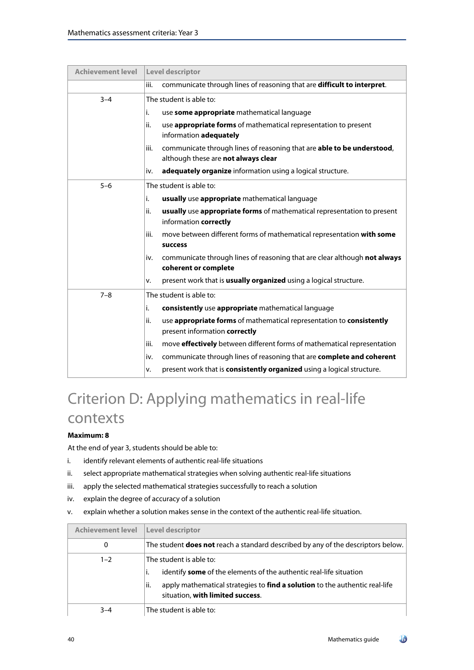| <b>Achievement level</b> | Level descriptor                                                                                |  |
|--------------------------|-------------------------------------------------------------------------------------------------|--|
|                          | communicate through lines of reasoning that are difficult to interpret.<br>iii.                 |  |
| $3 - 4$                  | The student is able to:                                                                         |  |
|                          | use some appropriate mathematical language<br>i.                                                |  |
|                          | use appropriate forms of mathematical representation to present<br>ii.                          |  |
|                          | information adequately                                                                          |  |
|                          | communicate through lines of reasoning that are able to be understood,<br>iii.                  |  |
|                          | although these are not always clear                                                             |  |
|                          | adequately organize information using a logical structure.<br>iv.                               |  |
| $5 - 6$                  | The student is able to:                                                                         |  |
|                          | usually use appropriate mathematical language<br>i.                                             |  |
|                          | usually use appropriate forms of mathematical representation to present<br>ii.                  |  |
|                          | information correctly                                                                           |  |
|                          | iii.<br>move between different forms of mathematical representation with some<br><b>success</b> |  |
|                          | communicate through lines of reasoning that are clear although not always<br>iv.                |  |
|                          | coherent or complete                                                                            |  |
|                          | present work that is <b>usually organized</b> using a logical structure.<br>٧.                  |  |
| $7 - 8$                  | The student is able to:                                                                         |  |
|                          | consistently use appropriate mathematical language<br>i.                                        |  |
|                          | ii.<br>use appropriate forms of mathematical representation to consistently                     |  |
|                          | present information correctly                                                                   |  |
|                          | move effectively between different forms of mathematical representation<br>iii.                 |  |
|                          | communicate through lines of reasoning that are complete and coherent<br>iv.                    |  |
|                          | present work that is consistently organized using a logical structure.<br>٧.                    |  |

# Criterion D: Applying mathematics in real-life contexts

### **Maximum: 8**

At the end of year 3, students should be able to:

- i. identify relevant elements of authentic real-life situations
- ii. select appropriate mathematical strategies when solving authentic real-life situations
- iii. apply the selected mathematical strategies successfully to reach a solution
- iv. explain the degree of accuracy of a solution
- v. explain whether a solution makes sense in the context of the authentic real-life situation.

| <b>Achievement level</b> | Level descriptor                                                                                                                                                                                                               |
|--------------------------|--------------------------------------------------------------------------------------------------------------------------------------------------------------------------------------------------------------------------------|
| 0                        | The student <b>does not</b> reach a standard described by any of the descriptors below.                                                                                                                                        |
| $1 - 2$                  | The student is able to:<br>identify <b>some</b> of the elements of the authentic real-life situation<br>۱i.<br>apply mathematical strategies to find a solution to the authentic real-life<br>situation, with limited success. |
| $3 - 4$                  | The student is able to:                                                                                                                                                                                                        |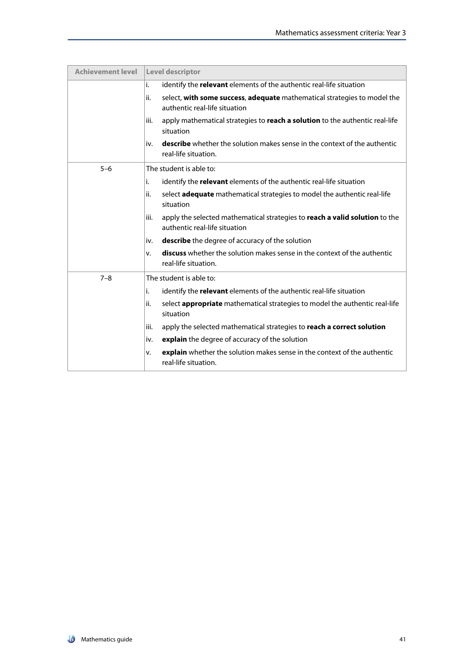| <b>Achievement level</b> | <b>Level descriptor</b>                                                                                              |
|--------------------------|----------------------------------------------------------------------------------------------------------------------|
|                          | identify the relevant elements of the authentic real-life situation<br>i.                                            |
|                          | ii.<br>select, with some success, adequate mathematical strategies to model the<br>authentic real-life situation     |
|                          | apply mathematical strategies to reach a solution to the authentic real-life<br>iii.<br>situation                    |
|                          | <b>describe</b> whether the solution makes sense in the context of the authentic<br>iv.<br>real-life situation.      |
| $5 - 6$                  | The student is able to:                                                                                              |
|                          | i.<br>identify the relevant elements of the authentic real-life situation                                            |
|                          | ii.<br>select adequate mathematical strategies to model the authentic real-life<br>situation                         |
|                          | apply the selected mathematical strategies to reach a valid solution to the<br>iii.<br>authentic real-life situation |
|                          | <b>describe</b> the degree of accuracy of the solution<br>iv.                                                        |
|                          | <b>discuss</b> whether the solution makes sense in the context of the authentic<br>v.<br>real-life situation.        |
| $7 - 8$                  | The student is able to:                                                                                              |
|                          | identify the relevant elements of the authentic real-life situation<br>i.                                            |
|                          | ii.<br>select <b>appropriate</b> mathematical strategies to model the authentic real-life<br>situation               |
|                          | apply the selected mathematical strategies to reach a correct solution<br>iii.                                       |
|                          | explain the degree of accuracy of the solution<br>iv.                                                                |
|                          | explain whether the solution makes sense in the context of the authentic<br>v.<br>real-life situation.               |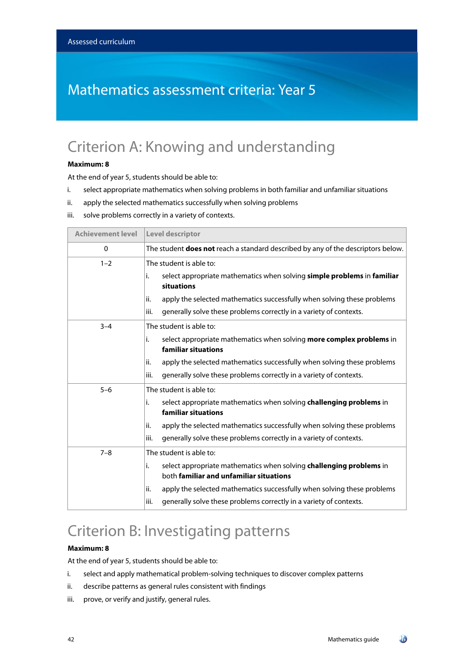## Mathematics assessment criteria: Year 5

## Criterion A: Knowing and understanding

#### **Maximum: 8**

At the end of year 5, students should be able to:

- i. select appropriate mathematics when solving problems in both familiar and unfamiliar situations
- ii. apply the selected mathematics successfully when solving problems
- iii. solve problems correctly in a variety of contexts.

| <b>Achievement level</b> | Level descriptor                                                                                                     |
|--------------------------|----------------------------------------------------------------------------------------------------------------------|
| 0                        | The student <b>does not</b> reach a standard described by any of the descriptors below.                              |
| $1 - 2$                  | The student is able to:                                                                                              |
|                          | i.<br>select appropriate mathematics when solving simple problems in familiar<br>situations                          |
|                          | apply the selected mathematics successfully when solving these problems<br>ii.                                       |
|                          | generally solve these problems correctly in a variety of contexts.<br>iii.                                           |
| $3 - 4$                  | The student is able to:                                                                                              |
|                          | select appropriate mathematics when solving more complex problems in<br>i.<br>familiar situations                    |
|                          | apply the selected mathematics successfully when solving these problems<br>ii.                                       |
|                          | generally solve these problems correctly in a variety of contexts.<br>iii.                                           |
| $5 - 6$                  | The student is able to:                                                                                              |
|                          | i.<br>select appropriate mathematics when solving challenging problems in<br>familiar situations                     |
|                          | ii.<br>apply the selected mathematics successfully when solving these problems                                       |
|                          | generally solve these problems correctly in a variety of contexts.<br>iii.                                           |
| $7 - 8$                  | The student is able to:                                                                                              |
|                          | i.<br>select appropriate mathematics when solving challenging problems in<br>both familiar and unfamiliar situations |
|                          | apply the selected mathematics successfully when solving these problems<br>ii.                                       |
|                          | generally solve these problems correctly in a variety of contexts.<br>iii.                                           |

## Criterion B: Investigating patterns

#### **Maximum: 8**

At the end of year 5, students should be able to:

- i. select and apply mathematical problem-solving techniques to discover complex patterns
- ii. describe patterns as general rules consistent with findings
- iii. prove, or verify and justify, general rules.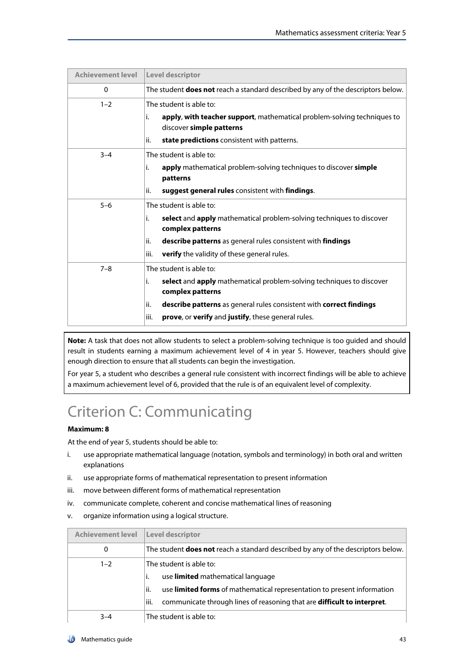| <b>Achievement level</b> | <b>Level descriptor</b>                                                                                                                                                                                                                                               |
|--------------------------|-----------------------------------------------------------------------------------------------------------------------------------------------------------------------------------------------------------------------------------------------------------------------|
| $\Omega$                 | The student <b>does not</b> reach a standard described by any of the descriptors below.                                                                                                                                                                               |
| $1 - 2$                  | The student is able to:<br>apply, with teacher support, mathematical problem-solving techniques to<br>i.<br>discover simple patterns<br>state predictions consistent with patterns.<br>ii.                                                                            |
| $3 - 4$                  | The student is able to:<br>apply mathematical problem-solving techniques to discover simple<br>İ.<br>patterns<br>ii.<br>suggest general rules consistent with findings.                                                                                               |
| $5 - 6$                  | The student is able to:<br>select and apply mathematical problem-solving techniques to discover<br>i.<br>complex patterns<br>describe patterns as general rules consistent with findings<br>ii.<br>iii.<br><b>verify</b> the validity of these general rules.         |
| $7 - 8$                  | The student is able to:<br>select and apply mathematical problem-solving techniques to discover<br>i.<br>complex patterns<br>describe patterns as general rules consistent with correct findings<br>ii.<br>iii.<br>prove, or verify and justify, these general rules. |

**Note:** A task that does not allow students to select a problem-solving technique is too guided and should result in students earning a maximum achievement level of 4 in year 5. However, teachers should give enough direction to ensure that all students can begin the investigation.

For year 5, a student who describes a general rule consistent with incorrect findings will be able to achieve a maximum achievement level of 6, provided that the rule is of an equivalent level of complexity.

# Criterion C: Communicating

### **Maximum: 8**

At the end of year 5, students should be able to:

- i. use appropriate mathematical language (notation, symbols and terminology) in both oral and written explanations
- ii. use appropriate forms of mathematical representation to present information
- iii. move between different forms of mathematical representation
- iv. communicate complete, coherent and concise mathematical lines of reasoning
- v. organize information using a logical structure.

| <b>Achievement level</b> | <b>Level descriptor</b>                                                                 |
|--------------------------|-----------------------------------------------------------------------------------------|
| 0                        | The student <b>does not</b> reach a standard described by any of the descriptors below. |
| $1 - 2$                  | The student is able to:                                                                 |
|                          | use limited mathematical language                                                       |
|                          | use <b>limited forms</b> of mathematical representation to present information<br>ii.   |
|                          | iii.<br>communicate through lines of reasoning that are <b>difficult to interpret</b> . |
| $3 - 4$                  | The student is able to:                                                                 |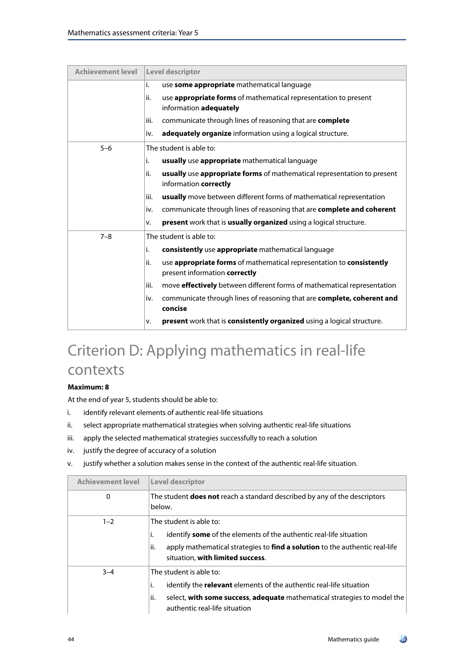| <b>Achievement level</b> | <b>Level descriptor</b>                                                                                      |  |
|--------------------------|--------------------------------------------------------------------------------------------------------------|--|
|                          | i.<br>use some appropriate mathematical language                                                             |  |
|                          | use <b>appropriate forms</b> of mathematical representation to present<br>ii.<br>information adequately      |  |
|                          | communicate through lines of reasoning that are complete<br>iii.                                             |  |
|                          | adequately organize information using a logical structure.<br>iv.                                            |  |
| $5 - 6$                  | The student is able to:                                                                                      |  |
|                          | i.<br>usually use appropriate mathematical language                                                          |  |
|                          | ii.<br>usually use appropriate forms of mathematical representation to present<br>information correctly      |  |
|                          | usually move between different forms of mathematical representation<br>iii.                                  |  |
|                          | communicate through lines of reasoning that are complete and coherent<br>iv.                                 |  |
|                          | present work that is usually organized using a logical structure.<br>v.                                      |  |
| $7 - 8$                  | The student is able to:                                                                                      |  |
|                          | i.<br>consistently use appropriate mathematical language                                                     |  |
|                          | ii.<br>use appropriate forms of mathematical representation to consistently<br>present information correctly |  |
|                          | move <b>effectively</b> between different forms of mathematical representation<br>iii.                       |  |
|                          | communicate through lines of reasoning that are complete, coherent and<br>iv.<br>concise                     |  |
|                          | present work that is consistently organized using a logical structure.<br>v.                                 |  |

# Criterion D: Applying mathematics in real-life contexts

### **Maximum: 8**

At the end of year 5, students should be able to:

- i. identify relevant elements of authentic real-life situations
- ii. select appropriate mathematical strategies when solving authentic real-life situations
- iii. apply the selected mathematical strategies successfully to reach a solution
- iv. justify the degree of accuracy of a solution
- v. justify whether a solution makes sense in the context of the authentic real-life situation.

| <b>Achievement level</b> | <b>Level descriptor</b>                                                                                                 |
|--------------------------|-------------------------------------------------------------------------------------------------------------------------|
| 0                        | The student <b>does not</b> reach a standard described by any of the descriptors<br>below.                              |
| $1 - 2$                  | The student is able to:                                                                                                 |
|                          | identify <b>some</b> of the elements of the authentic real-life situation<br>Ι.                                         |
|                          | lii.<br>apply mathematical strategies to find a solution to the authentic real-life<br>situation, with limited success. |
| $3 - 4$                  | The student is able to:                                                                                                 |
|                          | identify the <b>relevant</b> elements of the authentic real-life situation<br>İ.                                        |
|                          | select, with some success, adequate mathematical strategies to model the<br>ii.<br>authentic real-life situation        |